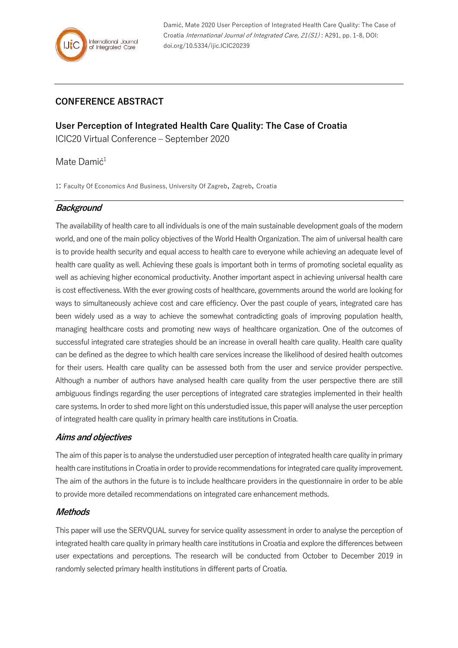Damić, Mate 2020 User Perception of Integrated Health Care Quality: The Case of Croatia International Journal of Integrated Care, 21(S1) : A291, pp. 1-8, DOI: doi.org/10.5334/ijic.ICIC20239

## **CONFERENCE ABSTRACT**

**User Perception of Integrated Health Care Quality: The Case of Croatia** ICIC20 Virtual Conference – September 2020

## Mate Damić<sup>1</sup>

1: Faculty Of Economics And Business, University Of Zagreb, Zagreb, Croatia

## **Background**

The availability of health care to all individuals is one of the main sustainable development goals of the modern world, and one of the main policy objectives of the World Health Organization. The aim of universal health care is to provide health security and equal access to health care to everyone while achieving an adequate level of health care quality as well. Achieving these goals is important both in terms of promoting societal equality as well as achieving higher economical productivity. Another important aspect in achieving universal health care is cost effectiveness. With the ever growing costs of healthcare, governments around the world are looking for ways to simultaneously achieve cost and care efficiency. Over the past couple of years, integrated care has been widely used as a way to achieve the somewhat contradicting goals of improving population health, managing healthcare costs and promoting new ways of healthcare organization. One of the outcomes of successful integrated care strategies should be an increase in overall health care quality. Health care quality can be defined as the degree to which health care services increase the likelihood of desired health outcomes for their users. Health care quality can be assessed both from the user and service provider perspective. Although a number of authors have analysed health care quality from the user perspective there are still ambiguous findings regarding the user perceptions of integrated care strategies implemented in their health care systems. In order to shed more light on this understudied issue, this paper will analyse the user perception of integrated health care quality in primary health care institutions in Croatia.

#### **Aims and objectives**

The aim of this paper is to analyse the understudied user perception of integrated health care quality in primary health care institutions in Croatia in order to provide recommendations for integrated care quality improvement. The aim of the authors in the future is to include healthcare providers in the questionnaire in order to be able to provide more detailed recommendations on integrated care enhancement methods.

## **Methods**

This paper will use the SERVQUAL survey for service quality assessment in order to analyse the perception of integrated health care quality in primary health care institutions in Croatia and explore the differences between user expectations and perceptions. The research will be conducted from October to December 2019 in randomly selected primary health institutions in different parts of Croatia.